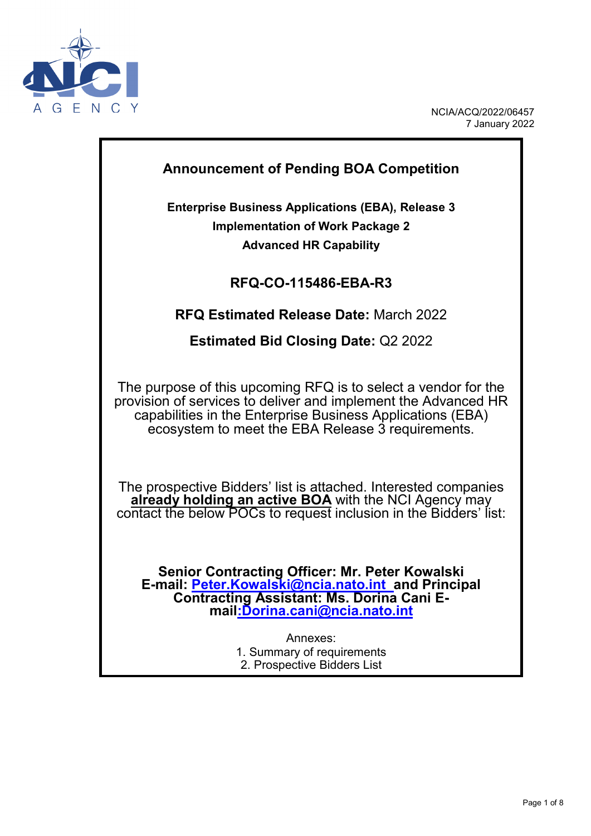

## **Announcement of Pending BOA Competition**

**Enterprise Business Applications (EBA), Release 3 Implementation of Work Package 2 Advanced HR Capability**

## **RFQ-CO-115486-EBA-R3**

## **RFQ Estimated Release Date:** March 2022

**Estimated Bid Closing Date:** Q2 2022

The purpose of this upcoming RFQ is to select a vendor for the provision of services to deliver and implement the Advanced HR capabilities in the Enterprise Business Applications (EBA) ecosystem to meet the EBA Release 3 requirements.

The prospective Bidders' list is attached. Interested companies **already holding an active BOA** with the NCI Agency may contact the below POCs to request inclusion in the Bidders' list:

**Senior Contracting Officer: Mr. Peter Kowalski E-mail: [Peter.Kowalski@ncia.nato.int](mailto:Peter.Kowalski@ncia.nato.int) and Principal Contracting Assistant: Ms. Dorina Cani E- mail:Dorina.cani@ncia.nato.int**

> Annexes: 1. Summary of requirements 2. Prospective Bidders List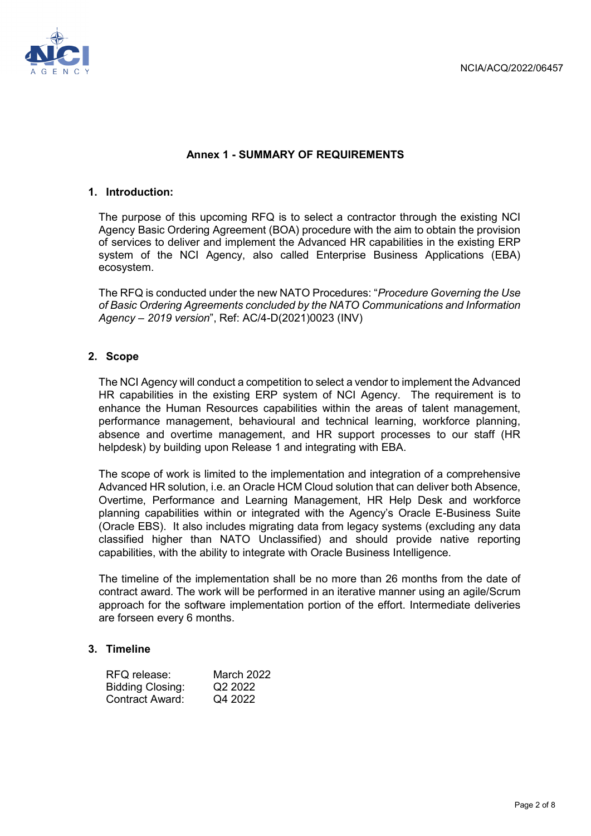

### **Annex 1 - SUMMARY OF REQUIREMENTS**

#### **1. Introduction:**

The purpose of this upcoming RFQ is to select a contractor through the existing NCI Agency Basic Ordering Agreement (BOA) procedure with the aim to obtain the provision of services to deliver and implement the Advanced HR capabilities in the existing ERP system of the NCI Agency, also called Enterprise Business Applications (EBA) ecosystem.

The RFQ is conducted under the new NATO Procedures: "*Procedure Governing the Use of Basic Ordering Agreements concluded by the NATO Communications and Information Agency – 2019 version*", Ref: AC/4-D(2021)0023 (INV)

#### **2. Scope**

The NCI Agency will conduct a competition to select a vendor to implement the Advanced HR capabilities in the existing ERP system of NCI Agency. The requirement is to enhance the Human Resources capabilities within the areas of talent management, performance management, behavioural and technical learning, workforce planning, absence and overtime management, and HR support processes to our staff (HR helpdesk) by building upon Release 1 and integrating with EBA.

The scope of work is limited to the implementation and integration of a comprehensive Advanced HR solution, i.e. an Oracle HCM Cloud solution that can deliver both Absence, Overtime, Performance and Learning Management, HR Help Desk and workforce planning capabilities within or integrated with the Agency's Oracle E-Business Suite (Oracle EBS). It also includes migrating data from legacy systems (excluding any data classified higher than NATO Unclassified) and should provide native reporting capabilities, with the ability to integrate with Oracle Business Intelligence.

The timeline of the implementation shall be no more than 26 months from the date of contract award. The work will be performed in an iterative manner using an agile/Scrum approach for the software implementation portion of the effort. Intermediate deliveries are forseen every 6 months.

#### **3. Timeline**

| RFQ release:            | March 2022          |
|-------------------------|---------------------|
| <b>Bidding Closing:</b> | Q <sub>2</sub> 2022 |
| <b>Contract Award:</b>  | Q4 2022             |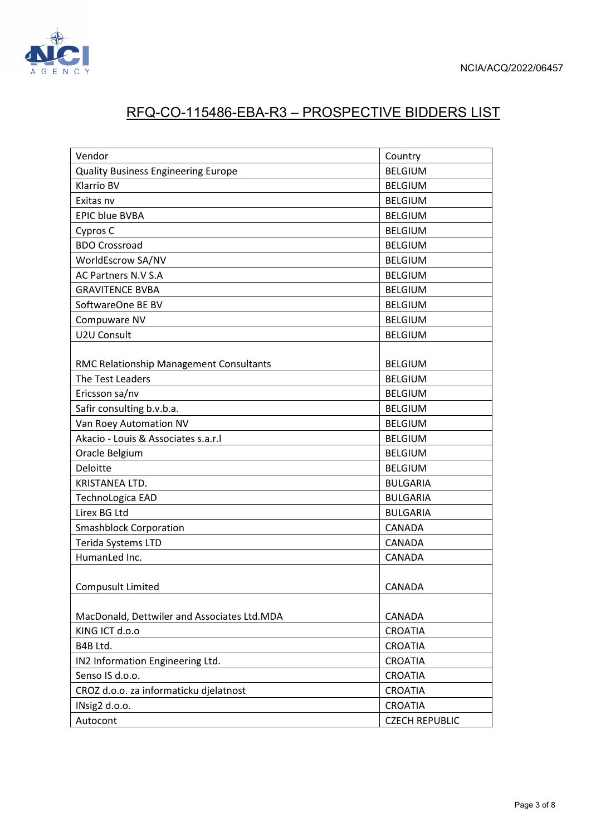

# RFQ-CO-115486-EBA-R3 – PROSPECTIVE BIDDERS LIST

| Vendor                                      | Country               |
|---------------------------------------------|-----------------------|
| <b>Quality Business Engineering Europe</b>  | <b>BELGIUM</b>        |
| <b>Klarrio BV</b>                           | <b>BELGIUM</b>        |
| Exitas nv                                   | <b>BELGIUM</b>        |
| <b>EPIC blue BVBA</b>                       | <b>BELGIUM</b>        |
| Cypros C                                    | <b>BELGIUM</b>        |
| <b>BDO Crossroad</b>                        | <b>BELGIUM</b>        |
| WorldEscrow SA/NV                           | <b>BELGIUM</b>        |
| AC Partners N.V S.A                         | <b>BELGIUM</b>        |
| <b>GRAVITENCE BVBA</b>                      | <b>BELGIUM</b>        |
| SoftwareOne BE BV                           | <b>BELGIUM</b>        |
| Compuware NV                                | <b>BELGIUM</b>        |
| U2U Consult                                 | <b>BELGIUM</b>        |
|                                             |                       |
| RMC Relationship Management Consultants     | <b>BELGIUM</b>        |
| The Test Leaders                            | <b>BELGIUM</b>        |
| Ericsson sa/nv                              | <b>BELGIUM</b>        |
| Safir consulting b.v.b.a.                   | <b>BELGIUM</b>        |
| Van Roey Automation NV                      | <b>BELGIUM</b>        |
| Akacio - Louis & Associates s.a.r.l         | <b>BELGIUM</b>        |
| Oracle Belgium                              | <b>BELGIUM</b>        |
| Deloitte                                    | <b>BELGIUM</b>        |
| KRISTANEA LTD.                              | <b>BULGARIA</b>       |
| TechnoLogica EAD                            | <b>BULGARIA</b>       |
| Lirex BG Ltd                                | <b>BULGARIA</b>       |
| <b>Smashblock Corporation</b>               | CANADA                |
| Terida Systems LTD                          | <b>CANADA</b>         |
| HumanLed Inc.                               | CANADA                |
|                                             |                       |
| <b>Compusult Limited</b>                    | <b>CANADA</b>         |
|                                             |                       |
| MacDonald, Dettwiler and Associates Ltd.MDA | CANADA                |
| KING ICT d.o.o                              | <b>CROATIA</b>        |
| B4B Ltd.                                    | <b>CROATIA</b>        |
| IN2 Information Engineering Ltd.            | <b>CROATIA</b>        |
| Senso IS d.o.o.                             | <b>CROATIA</b>        |
| CROZ d.o.o. za informaticku djelatnost      | <b>CROATIA</b>        |
| INsig2 d.o.o.                               | <b>CROATIA</b>        |
| Autocont                                    | <b>CZECH REPUBLIC</b> |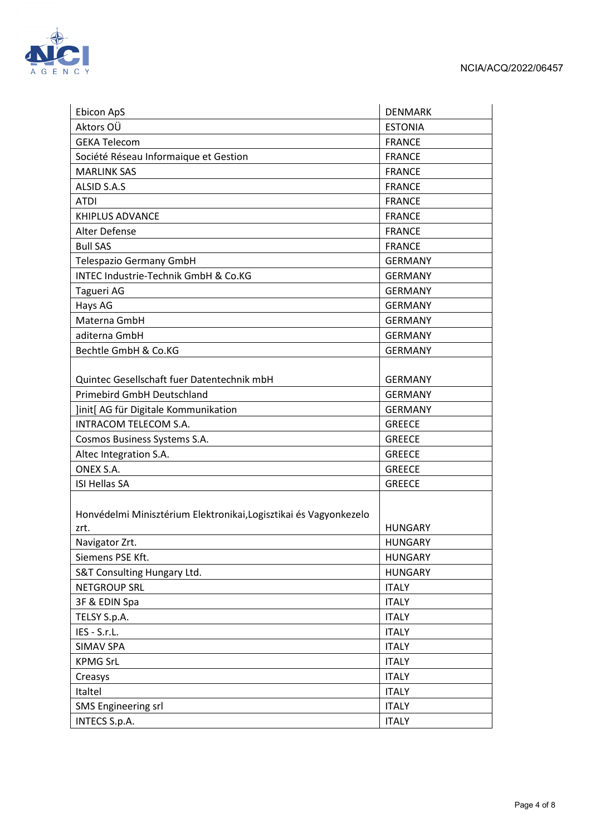



| Ebicon ApS                                                                | <b>DENMARK</b> |
|---------------------------------------------------------------------------|----------------|
| Aktors OÜ                                                                 | <b>ESTONIA</b> |
| <b>GEKA Telecom</b>                                                       | <b>FRANCE</b>  |
| Société Réseau Informaique et Gestion                                     | <b>FRANCE</b>  |
| <b>MARLINK SAS</b>                                                        | <b>FRANCE</b>  |
| ALSID S.A.S                                                               | <b>FRANCE</b>  |
| <b>ATDI</b>                                                               | <b>FRANCE</b>  |
| <b>KHIPLUS ADVANCE</b>                                                    | <b>FRANCE</b>  |
| Alter Defense                                                             | <b>FRANCE</b>  |
| <b>Bull SAS</b>                                                           | <b>FRANCE</b>  |
| Telespazio Germany GmbH                                                   | <b>GERMANY</b> |
| INTEC Industrie-Technik GmbH & Co.KG                                      | <b>GERMANY</b> |
| Tagueri AG                                                                | <b>GERMANY</b> |
| Hays AG                                                                   | <b>GERMANY</b> |
| Materna GmbH                                                              | <b>GERMANY</b> |
| aditerna GmbH                                                             | <b>GERMANY</b> |
| Bechtle GmbH & Co.KG                                                      | <b>GERMANY</b> |
|                                                                           |                |
| Quintec Gesellschaft fuer Datentechnik mbH                                | <b>GERMANY</b> |
| <b>Primebird GmbH Deutschland</b>                                         | <b>GERMANY</b> |
| Jinit[ AG für Digitale Kommunikation                                      | <b>GERMANY</b> |
| INTRACOM TELECOM S.A.                                                     | <b>GREECE</b>  |
| Cosmos Business Systems S.A.                                              | <b>GREECE</b>  |
| Altec Integration S.A.                                                    | <b>GREECE</b>  |
| ONEX S.A.                                                                 | <b>GREECE</b>  |
| <b>ISI Hellas SA</b>                                                      | <b>GREECE</b>  |
| Honvédelmi Minisztérium Elektronikai, Logisztikai és Vagyonkezelo<br>zrt. | <b>HUNGARY</b> |
| Navigator Zrt.                                                            | <b>HUNGARY</b> |
| Siemens PSE Kft.                                                          | <b>HUNGARY</b> |
| S&T Consulting Hungary Ltd.                                               | <b>HUNGARY</b> |
| <b>NETGROUP SRL</b>                                                       | <b>ITALY</b>   |
| 3F & EDIN Spa                                                             | <b>ITALY</b>   |
| TELSY S.p.A.                                                              | <b>ITALY</b>   |
| IES - S.r.L.                                                              | <b>ITALY</b>   |
| <b>SIMAV SPA</b>                                                          | <b>ITALY</b>   |
| <b>KPMG SrL</b>                                                           | <b>ITALY</b>   |
| Creasys                                                                   | <b>ITALY</b>   |
| Italtel                                                                   | <b>ITALY</b>   |
| <b>SMS Engineering srl</b>                                                | <b>ITALY</b>   |
| INTECS S.p.A.                                                             | <b>ITALY</b>   |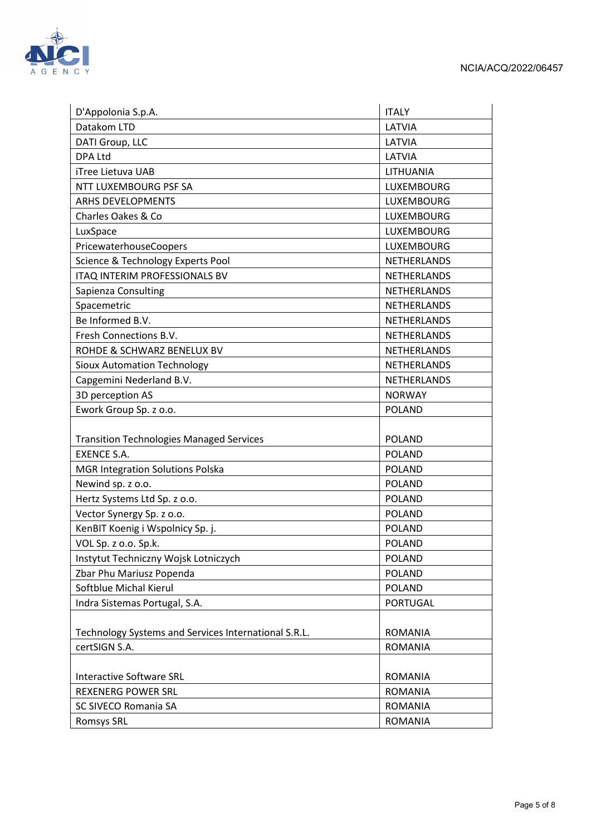

| D'Appolonia S.p.A.                                                    | <b>ITALY</b>       |
|-----------------------------------------------------------------------|--------------------|
| Datakom LTD                                                           | LATVIA             |
| DATI Group, LLC                                                       | LATVIA             |
| <b>DPA Ltd</b>                                                        | LATVIA             |
| iTree Lietuva UAB                                                     | LITHUANIA          |
| NTT LUXEMBOURG PSF SA                                                 | LUXEMBOURG         |
| <b>ARHS DEVELOPMENTS</b>                                              | LUXEMBOURG         |
| Charles Oakes & Co                                                    | LUXEMBOURG         |
| LuxSpace                                                              | LUXEMBOURG         |
| PricewaterhouseCoopers                                                | <b>LUXEMBOURG</b>  |
| Science & Technology Experts Pool                                     | <b>NETHERLANDS</b> |
| ITAQ INTERIM PROFESSIONALS BV                                         | <b>NETHERLANDS</b> |
| Sapienza Consulting                                                   | <b>NETHERLANDS</b> |
| Spacemetric                                                           | <b>NETHERLANDS</b> |
| Be Informed B.V.                                                      | <b>NETHERLANDS</b> |
| Fresh Connections B.V.                                                | <b>NETHERLANDS</b> |
| ROHDE & SCHWARZ BENELUX BV                                            | <b>NETHERLANDS</b> |
| <b>Sioux Automation Technology</b>                                    | <b>NETHERLANDS</b> |
| Capgemini Nederland B.V.                                              | <b>NETHERLANDS</b> |
| 3D perception AS                                                      | <b>NORWAY</b>      |
| Ework Group Sp. z o.o.                                                | <b>POLAND</b>      |
|                                                                       | <b>POLAND</b>      |
| <b>Transition Technologies Managed Services</b><br><b>EXENCE S.A.</b> | <b>POLAND</b>      |
| <b>MGR Integration Solutions Polska</b>                               | <b>POLAND</b>      |
| Newind sp. z o.o.                                                     | <b>POLAND</b>      |
| Hertz Systems Ltd Sp. z o.o.                                          | <b>POLAND</b>      |
| Vector Synergy Sp. z o.o.                                             | <b>POLAND</b>      |
| KenBIT Koenig i Wspolnicy Sp. j.                                      | <b>POLAND</b>      |
|                                                                       | <b>POLAND</b>      |
| VOL Sp. z o.o. Sp.k.<br>Instytut Techniczny Wojsk Lotniczych          | <b>POLAND</b>      |
| Zbar Phu Mariusz Popenda                                              | <b>POLAND</b>      |
| Softblue Michal Kierul                                                | <b>POLAND</b>      |
|                                                                       | <b>PORTUGAL</b>    |
| Indra Sistemas Portugal, S.A.                                         |                    |
| Technology Systems and Services International S.R.L.                  | <b>ROMANIA</b>     |
|                                                                       |                    |
| certSIGN S.A.                                                         | <b>ROMANIA</b>     |
| <b>Interactive Software SRL</b>                                       | <b>ROMANIA</b>     |
| <b>REXENERG POWER SRL</b>                                             | <b>ROMANIA</b>     |
| SC SIVECO Romania SA                                                  | <b>ROMANIA</b>     |
| <b>Romsys SRL</b>                                                     | <b>ROMANIA</b>     |
|                                                                       |                    |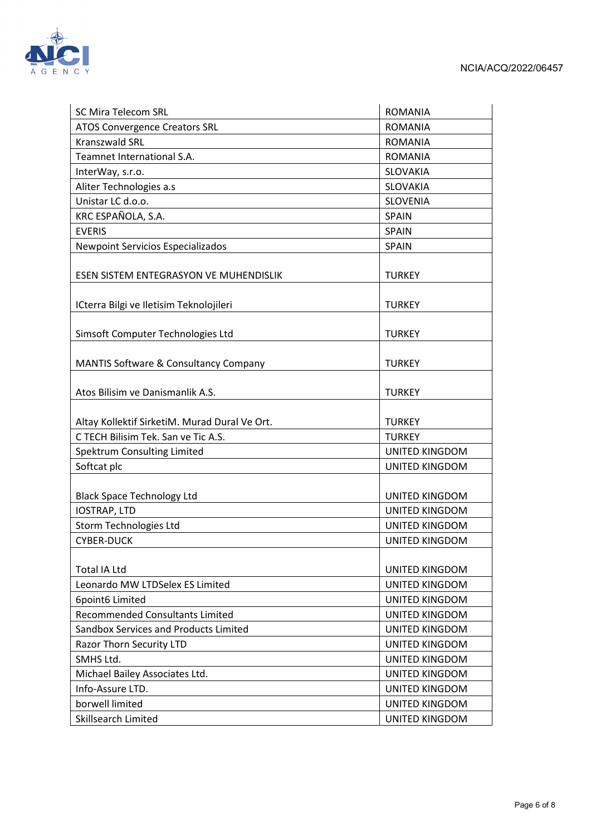

| <b>SC Mira Telecom SRL</b>                       | <b>ROMANIA</b>        |
|--------------------------------------------------|-----------------------|
| <b>ATOS Convergence Creators SRL</b>             | <b>ROMANIA</b>        |
| <b>Kranszwald SRL</b>                            | <b>ROMANIA</b>        |
| Teamnet International S.A.                       | <b>ROMANIA</b>        |
| InterWay, s.r.o.                                 | <b>SLOVAKIA</b>       |
| Aliter Technologies a.s                          | <b>SLOVAKIA</b>       |
| Unistar LC d.o.o.                                | <b>SLOVENIA</b>       |
| KRC ESPAÑOLA, S.A.                               | <b>SPAIN</b>          |
| <b>EVERIS</b>                                    | <b>SPAIN</b>          |
| <b>Newpoint Servicios Especializados</b>         | <b>SPAIN</b>          |
|                                                  |                       |
| ESEN SISTEM ENTEGRASYON VE MUHENDISLIK           | <b>TURKEY</b>         |
| ICterra Bilgi ve Iletisim Teknolojileri          | <b>TURKEY</b>         |
| Simsoft Computer Technologies Ltd                | <b>TURKEY</b>         |
| <b>MANTIS Software &amp; Consultancy Company</b> | <b>TURKEY</b>         |
| Atos Bilisim ve Danismanlik A.S.                 | <b>TURKEY</b>         |
| Altay Kollektif SirketiM. Murad Dural Ve Ort.    | <b>TURKEY</b>         |
| C TECH Bilisim Tek. San ve Tic A.S.              | <b>TURKEY</b>         |
| Spektrum Consulting Limited                      | UNITED KINGDOM        |
| Softcat plc                                      | UNITED KINGDOM        |
|                                                  |                       |
| <b>Black Space Technology Ltd</b>                | <b>UNITED KINGDOM</b> |
| <b>IOSTRAP, LTD</b>                              | <b>UNITED KINGDOM</b> |
| Storm Technologies Ltd                           | <b>UNITED KINGDOM</b> |
| <b>CYBER-DUCK</b>                                | UNITED KINGDOM        |
| <b>Total IA Ltd</b>                              | <b>UNITED KINGDOM</b> |
| Leonardo MW LTDSelex ES Limited                  | <b>UNITED KINGDOM</b> |
| 6point6 Limited                                  | <b>UNITED KINGDOM</b> |
| <b>Recommended Consultants Limited</b>           | <b>UNITED KINGDOM</b> |
| Sandbox Services and Products Limited            | <b>UNITED KINGDOM</b> |
| Razor Thorn Security LTD                         | <b>UNITED KINGDOM</b> |
| SMHS Ltd.                                        | <b>UNITED KINGDOM</b> |
| Michael Bailey Associates Ltd.                   | <b>UNITED KINGDOM</b> |
| Info-Assure LTD.                                 | <b>UNITED KINGDOM</b> |
| borwell limited                                  | <b>UNITED KINGDOM</b> |
| <b>Skillsearch Limited</b>                       | UNITED KINGDOM        |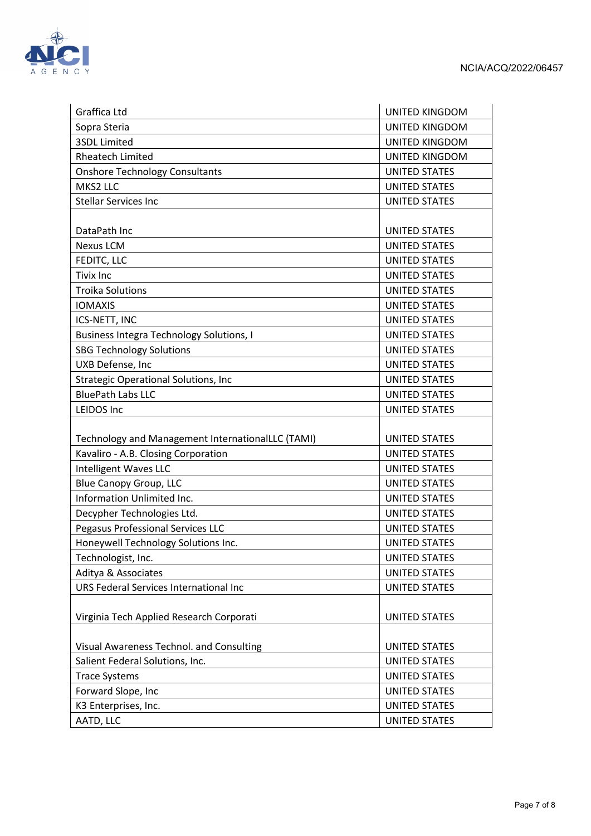

| Graffica Ltd                                      | <b>UNITED KINGDOM</b> |
|---------------------------------------------------|-----------------------|
| Sopra Steria                                      | <b>UNITED KINGDOM</b> |
| <b>3SDL Limited</b>                               | <b>UNITED KINGDOM</b> |
| <b>Rheatech Limited</b>                           | <b>UNITED KINGDOM</b> |
| <b>Onshore Technology Consultants</b>             | <b>UNITED STATES</b>  |
| MKS2 LLC                                          | <b>UNITED STATES</b>  |
| <b>Stellar Services Inc</b>                       | <b>UNITED STATES</b>  |
|                                                   |                       |
| DataPath Inc                                      | <b>UNITED STATES</b>  |
| <b>Nexus LCM</b>                                  | <b>UNITED STATES</b>  |
| FEDITC, LLC                                       | <b>UNITED STATES</b>  |
| <b>Tivix Inc</b>                                  | <b>UNITED STATES</b>  |
| <b>Troika Solutions</b>                           | <b>UNITED STATES</b>  |
| <b>IOMAXIS</b>                                    | <b>UNITED STATES</b>  |
| ICS-NETT, INC                                     | <b>UNITED STATES</b>  |
| <b>Business Integra Technology Solutions, I</b>   | <b>UNITED STATES</b>  |
| <b>SBG Technology Solutions</b>                   | <b>UNITED STATES</b>  |
| UXB Defense, Inc                                  | <b>UNITED STATES</b>  |
| <b>Strategic Operational Solutions, Inc</b>       | <b>UNITED STATES</b>  |
| <b>BluePath Labs LLC</b>                          | <b>UNITED STATES</b>  |
| <b>LEIDOS Inc</b>                                 | <b>UNITED STATES</b>  |
|                                                   |                       |
| Technology and Management InternationalLLC (TAMI) | <b>UNITED STATES</b>  |
| Kavaliro - A.B. Closing Corporation               | <b>UNITED STATES</b>  |
| <b>Intelligent Waves LLC</b>                      | <b>UNITED STATES</b>  |
| <b>Blue Canopy Group, LLC</b>                     | <b>UNITED STATES</b>  |
| Information Unlimited Inc.                        | <b>UNITED STATES</b>  |
| Decypher Technologies Ltd.                        | <b>UNITED STATES</b>  |
| Pegasus Professional Services LLC                 | <b>UNITED STATES</b>  |
| Honeywell Technology Solutions Inc.               | <b>UNITED STATES</b>  |
| Technologist, Inc.                                | <b>UNITED STATES</b>  |
| Aditya & Associates                               | <b>UNITED STATES</b>  |
| URS Federal Services International Inc            | <b>UNITED STATES</b>  |
|                                                   |                       |
| Virginia Tech Applied Research Corporati          | <b>UNITED STATES</b>  |
|                                                   |                       |
| Visual Awareness Technol. and Consulting          | <b>UNITED STATES</b>  |
| Salient Federal Solutions, Inc.                   | <b>UNITED STATES</b>  |
| <b>Trace Systems</b>                              | <b>UNITED STATES</b>  |
| Forward Slope, Inc                                | <b>UNITED STATES</b>  |
| K3 Enterprises, Inc.                              | <b>UNITED STATES</b>  |
| AATD, LLC                                         | <b>UNITED STATES</b>  |